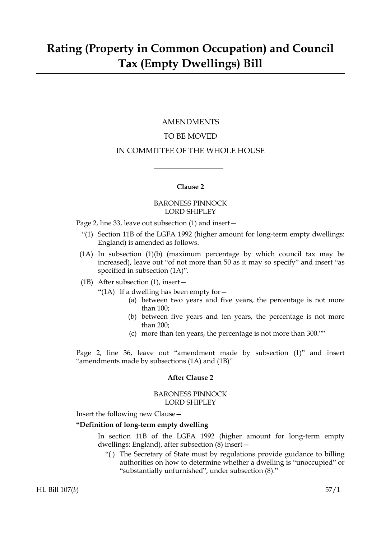## AMENDMENTS

### TO BE MOVED

#### IN COMMITTEE OF THE WHOLE HOUSE

 $\overline{\phantom{a}}$  , where  $\overline{\phantom{a}}$ 

#### **Clause 2**

#### BARONESS PINNOCK LORD SHIPLEY

Page 2, line 33, leave out subsection (1) and insert—

- "(1) Section 11B of the LGFA 1992 (higher amount for long-term empty dwellings: England) is amended as follows.
- (1A) In subsection (1)(b) (maximum percentage by which council tax may be increased), leave out "of not more than 50 as it may so specify" and insert "as specified in subsection (1A)".
- (1B) After subsection (1), insert—
	- "(1A) If a dwelling has been empty for  $-$ 
		- (a) between two years and five years, the percentage is not more than 100;
		- (b) between five years and ten years, the percentage is not more than 200;
		- (c) more than ten years, the percentage is not more than 300.""

Page 2, line 36, leave out "amendment made by subsection (1)" and insert "amendments made by subsections (1A) and (1B)"

#### **After Clause 2**

#### BARONESS PINNOCK LORD SHIPLEY

Insert the following new Clause—

#### **"Definition of long-term empty dwelling**

In section 11B of the LGFA 1992 (higher amount for long-term empty dwellings: England), after subsection (8) insert—

"( ) The Secretary of State must by regulations provide guidance to billing authorities on how to determine whether a dwelling is "unoccupied" or "substantially unfurnished", under subsection (8)."

HL Bill 107(*b*) 57/1